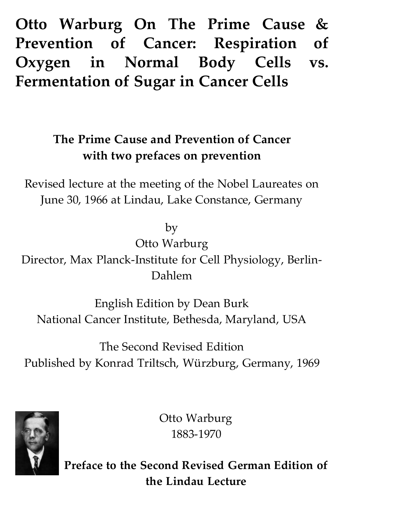# **Otto Warburg On The Prime Cause & Prevention of Cancer: Respiration of Oxygen in Normal Body Cells vs. Fermentation of Sugar in Cancer Cells**

## **The Prime Cause and Prevention of Cancer with two prefaces on prevention**

Revised lecture at the meeting of the Nobel Laureates on June 30, 1966 at Lindau, Lake Constance, Germany

by

Otto Warburg Director, Max Planck-Institute for Cell Physiology, Berlin-Dahlem

English Edition by Dean Burk National Cancer Institute, Bethesda, Maryland, USA

The Second Revised Edition Published by Konrad Triltsch, Würzburg, Germany, 1969



Otto Warburg 1883-1970

**Preface to the Second Revised German Edition of the Lindau Lecture**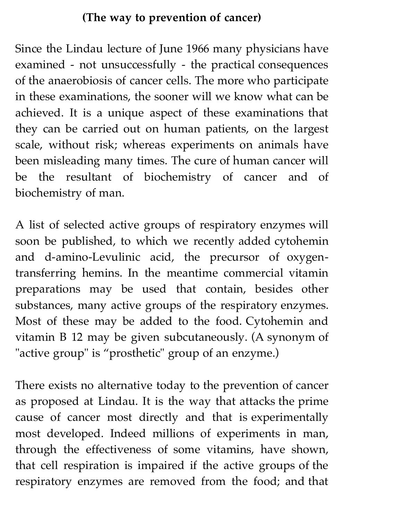#### **(The way to prevention of cancer)**

Since the Lindau lecture of June 1966 many physicians have examined - not unsuccessfully - the practical consequences of the anaerobiosis of cancer cells. The more who participate in these examinations, the sooner will we know what can be achieved. It is a unique aspect of these examinations that they can be carried out on human patients, on the largest scale, without risk; whereas experiments on animals have been misleading many times. The cure of human cancer will be the resultant of biochemistry of cancer and of biochemistry of man.

A list of selected active groups of respiratory enzymes will soon be published, to which we recently added cytohemin and d-amino-Levulinic acid, the precursor of oxygentransferring hemins. In the meantime commercial vitamin preparations may be used that contain, besides other substances, many active groups of the respiratory enzymes. Most of these may be added to the food. Cytohemin and vitamin B 12 may be given subcutaneously. (A synonym of "active group" is "prosthetic" group of an enzyme.)

There exists no alternative today to the prevention of cancer as proposed at Lindau. It is the way that attacks the prime cause of cancer most directly and that is experimentally most developed. Indeed millions of experiments in man, through the effectiveness of some vitamins, have shown, that cell respiration is impaired if the active groups of the respiratory enzymes are removed from the food; and that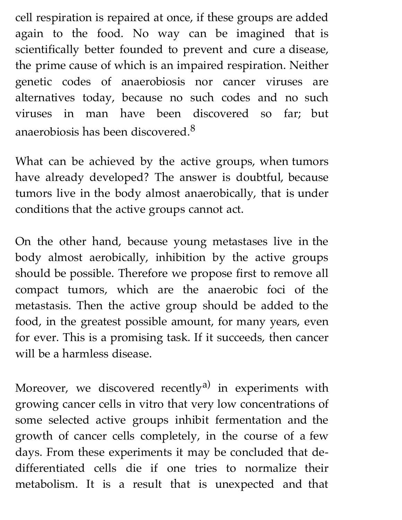cell respiration is repaired at once, if these groups are added again to the food. No way can be imagined that is scientifically better founded to prevent and cure a disease, the prime cause of which is an impaired respiration. Neither genetic codes of anaerobiosis nor cancer viruses are alternatives today, because no such codes and no such viruses in man have been discovered so far; but anaerobiosis has been discovered. $8$ 

What can be achieved by the active groups, when tumors have already developed? The answer is doubtful, because tumors live in the body almost anaerobically, that is under conditions that the active groups cannot act.

On the other hand, because young metastases live in the body almost aerobically, inhibition by the active groups should be possible. Therefore we propose first to remove all compact tumors, which are the anaerobic foci of the metastasis. Then the active group should be added to the food, in the greatest possible amount, for many years, even for ever. This is a promising task. If it succeeds, then cancer will be a harmless disease.

Moreover, we discovered recently<sup>a)</sup> in experiments with growing cancer cells in vitro that very low concentrations of some selected active groups inhibit fermentation and the growth of cancer cells completely, in the course of a few days. From these experiments it may be concluded that dedifferentiated cells die if one tries to normalize their metabolism. It is a result that is unexpected and that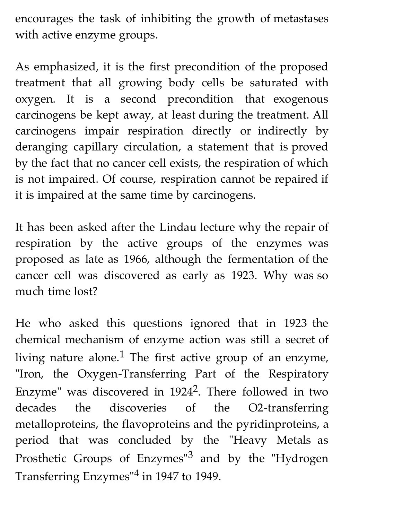encourages the task of inhibiting the growth of metastases with active enzyme groups.

As emphasized, it is the first precondition of the proposed treatment that all growing body cells be saturated with oxygen. It is a second precondition that exogenous carcinogens be kept away, at least during the treatment. All carcinogens impair respiration directly or indirectly by deranging capillary circulation, a statement that is proved by the fact that no cancer cell exists, the respiration of which is not impaired. Of course, respiration cannot be repaired if it is impaired at the same time by carcinogens.

It has been asked after the Lindau lecture why the repair of respiration by the active groups of the enzymes was proposed as late as 1966, although the fermentation of the cancer cell was discovered as early as 1923. Why was so much time lost?

He who asked this questions ignored that in 1923 the chemical mechanism of enzyme action was still a secret of living nature alone.<sup>1</sup> The first active group of an enzyme, "Iron, the Oxygen-Transferring Part of the Respiratory Enzyme" was discovered in  $1924^2$ . There followed in two decades the discoveries of the O2-transferring metalloproteins, the flavoproteins and the pyridinproteins, a period that was concluded by the "Heavy Metals as Prosthetic Groups of Enzymes"<sup>3</sup> and by the "Hydrogen Transferring Enzymes"<sup>4</sup> in 1947 to 1949.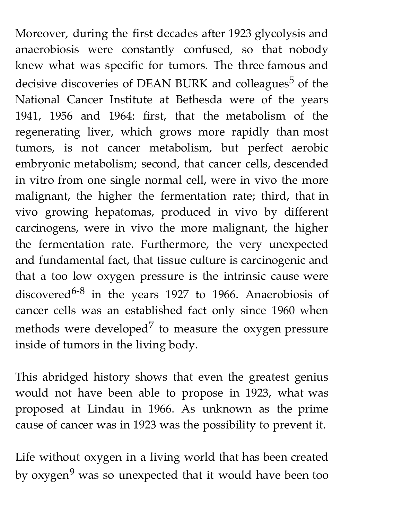Moreover, during the first decades after 1923 glycolysis and anaerobiosis were constantly confused, so that nobody knew what was specific for tumors. The three famous and decisive discoveries of DEAN BURK and colleagues<sup>5</sup> of the National Cancer Institute at Bethesda were of the years 1941, 1956 and 1964: first, that the metabolism of the regenerating liver, which grows more rapidly than most tumors, is not cancer metabolism, but perfect aerobic embryonic metabolism; second, that cancer cells, descended in vitro from one single normal cell, were in vivo the more malignant, the higher the fermentation rate; third, that in vivo growing hepatomas, produced in vivo by different carcinogens, were in vivo the more malignant, the higher the fermentation rate. Furthermore, the very unexpected and fundamental fact, that tissue culture is carcinogenic and that a too low oxygen pressure is the intrinsic cause were discovered<sup>6-8</sup> in the years 1927 to 1966. Anaerobiosis of cancer cells was an established fact only since 1960 when methods were developed<sup>7</sup> to measure the oxygen pressure inside of tumors in the living body.

This abridged history shows that even the greatest genius would not have been able to propose in 1923, what was proposed at Lindau in 1966. As unknown as the prime cause of cancer was in 1923 was the possibility to prevent it.

Life without oxygen in a living world that has been created by oxygen<sup>9</sup> was so unexpected that it would have been too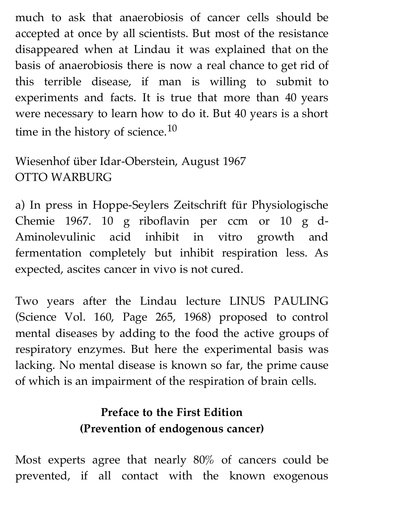much to ask that anaerobiosis of cancer cells should be accepted at once by all scientists. But most of the resistance disappeared when at Lindau it was explained that on the basis of anaerobiosis there is now a real chance to get rid of this terrible disease, if man is willing to submit to experiments and facts. It is true that more than 40 years were necessary to learn how to do it. But 40 years is a short time in the history of science.<sup>10</sup>

## Wiesenhof über Idar-Oberstein, August 1967 OTTO WARBURG

a) In press in Hoppe-Seylers Zeitschrift für Physiologische Chemie 1967. 10 g riboflavin per ccm or 10 g d-Aminolevulinic acid inhibit in vitro growth and fermentation completely but inhibit respiration less. As expected, ascites cancer in vivo is not cured.

Two years after the Lindau lecture LINUS PAULING (Science Vol. 160, Page 265, 1968) proposed to control mental diseases by adding to the food the active groups of respiratory enzymes. But here the experimental basis was lacking. No mental disease is known so far, the prime cause of which is an impairment of the respiration of brain cells.

## **Preface to the First Edition (Prevention of endogenous cancer)**

Most experts agree that nearly 80% of cancers could be prevented, if all contact with the known exogenous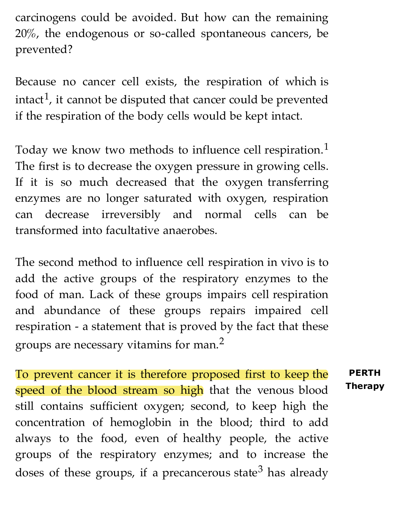carcinogens could be avoided. But how can the remaining 20%, the endogenous or so-called spontaneous cancers, be prevented?

Because no cancer cell exists, the respiration of which is intact<sup>1</sup>, it cannot be disputed that cancer could be prevented if the respiration of the body cells would be kept intact.

Today we know two methods to influence cell respiration.<sup>1</sup> The first is to decrease the oxygen pressure in growing cells. If it is so much decreased that the oxygen transferring enzymes are no longer saturated with oxygen, respiration can decrease irreversibly and normal cells can be transformed into facultative anaerobes.

The second method to influence cell respiration in vivo is to add the active groups of the respiratory enzymes to the food of man. Lack of these groups impairs cell respiration and abundance of these groups repairs impaired cell respiration - a statement that is proved by the fact that these groups are necessary vitamins for man.<sup>2</sup>

To prevent cancer it is therefore proposed first to keep the speed of the blood stream so high that the venous blood still contains sufficient oxygen; second, to keep high the concentration of hemoglobin in the blood; third to add always to the food, even of healthy people, the active groups of the respiratory enzymes; and to increase the doses of these groups, if a precancerous state<sup>3</sup> has already **PERTH [Therapy](http://new-planet.net/wp/perth-therapy/pulsed-magnetic-therapy/)**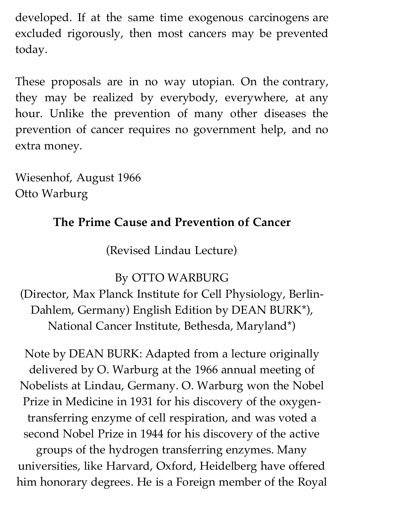developed. If at the same time exogenous carcinogens are excluded rigorously, then most cancers may be prevented today.

These proposals are in no way utopian. On the contrary, they may be realized by everybody, everywhere, at any hour. Unlike the prevention of many other diseases the prevention of cancer requires no government help, and no extra money.

Wiesenhof, August 1966 Otto Warburg

### **The Prime Cause and Prevention of Cancer**

(Revised Lindau Lecture)

By OTTO WARBURG

(Director, Max Planck Institute for Cell Physiology, Berlin-Dahlem, Germany) English Edition by DEAN BURK\*), National Cancer Institute, Bethesda, Maryland\*)

Note by DEAN BURK: Adapted from a lecture originally delivered by O. Warburg at the 1966 annual meeting of Nobelists at Lindau, Germany. O. Warburg won the Nobel Prize in Medicine in 1931 for his discovery of the oxygentransferring enzyme of cell respiration, and was voted a second Nobel Prize in 1944 for his discovery of the active groups of the hydrogen transferring enzymes. Many universities, like Harvard, Oxford, Heidelberg have offered him honorary degrees. He is a Foreign member of the Royal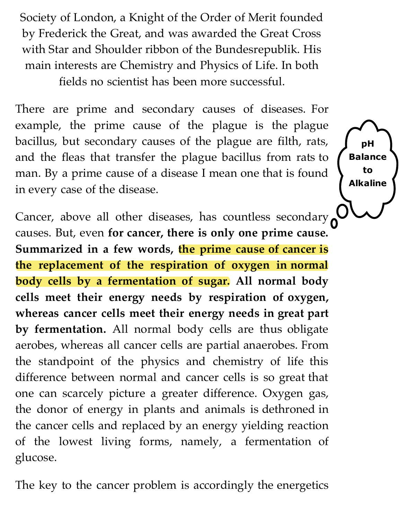Society of London, a Knight of the Order of Merit founded by Frederick the Great, and was awarded the Great Cross with Star and Shoulder ribbon of the Bundesrepublik. His main interests are Chemistry and Physics of Life. In both fields no scientist has been more successful.

There are prime and secondary causes of diseases. For example, the prime cause of the plague is the plague bacillus, but secondary causes of the plague are filth, rats, and the fleas that transfer the plague bacillus from rats to man. By a prime cause of a disease I mean one that is found in every case of the disease.

**pH** 

**[Balance](http://new-planet.net/wp/ionized-water-health-benefits/)** 

**to Alkaline**

Cancer, above all other diseases, has countless secondary causes. But, even **for cancer, there is only one prime cause. Summarized in a few words, the prime cause of cancer is the replacement of the respiration of oxygen in normal body cells by a fermentation of sugar. All normal body cells meet their energy needs by respiration of oxygen, whereas cancer cells meet their energy needs in great part by fermentation.** All normal body cells are thus obligate aerobes, whereas all cancer cells are partial anaerobes. From the standpoint of the physics and chemistry of life this difference between normal and cancer cells is so great that one can scarcely picture a greater difference. Oxygen gas, the donor of energy in plants and animals is dethroned in the cancer cells and replaced by an energy yielding reaction of the lowest living forms, namely, a fermentation of glucose.

The key to the cancer problem is accordingly the energetics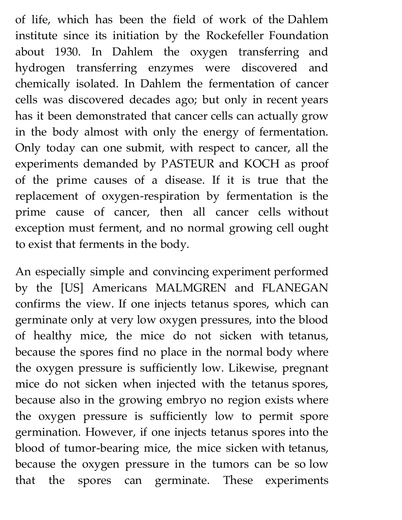of life, which has been the field of work of the Dahlem institute since its initiation by the Rockefeller Foundation about 1930. In Dahlem the oxygen transferring and hydrogen transferring enzymes were discovered and chemically isolated. In Dahlem the fermentation of cancer cells was discovered decades ago; but only in recent years has it been demonstrated that cancer cells can actually grow in the body almost with only the energy of fermentation. Only today can one submit, with respect to cancer, all the experiments demanded by PASTEUR and KOCH as proof of the prime causes of a disease. If it is true that the replacement of oxygen-respiration by fermentation is the prime cause of cancer, then all cancer cells without exception must ferment, and no normal growing cell ought to exist that ferments in the body.

An especially simple and convincing experiment performed by the [US] Americans MALMGREN and FLANEGAN confirms the view. If one injects tetanus spores, which can germinate only at very low oxygen pressures, into the blood of healthy mice, the mice do not sicken with tetanus, because the spores find no place in the normal body where the oxygen pressure is sufficiently low. Likewise, pregnant mice do not sicken when injected with the tetanus spores, because also in the growing embryo no region exists where the oxygen pressure is sufficiently low to permit spore germination. However, if one injects tetanus spores into the blood of tumor-bearing mice, the mice sicken with tetanus, because the oxygen pressure in the tumors can be so low that the spores can germinate. These experiments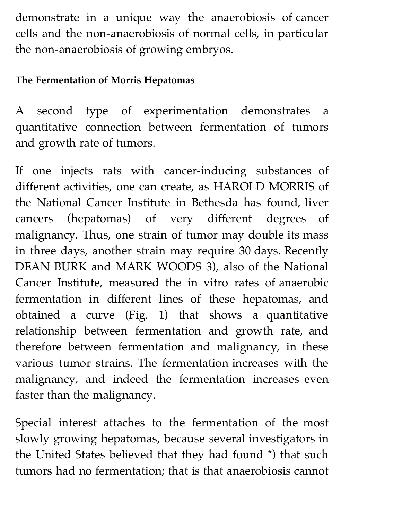demonstrate in a unique way the anaerobiosis of cancer cells and the non-anaerobiosis of normal cells, in particular the non-anaerobiosis of growing embryos.

#### **The Fermentation of Morris Hepatomas**

A second type of experimentation demonstrates a quantitative connection between fermentation of tumors and growth rate of tumors.

If one injects rats with cancer-inducing substances of different activities, one can create, as HAROLD MORRIS of the National Cancer Institute in Bethesda has found, liver cancers (hepatomas) of very different degrees of malignancy. Thus, one strain of tumor may double its mass in three days, another strain may require 30 days. Recently DEAN BURK and MARK WOODS 3), also of the National Cancer Institute, measured the in vitro rates of anaerobic fermentation in different lines of these hepatomas, and obtained a curve (Fig. 1) that shows a quantitative relationship between fermentation and growth rate, and therefore between fermentation and malignancy, in these various tumor strains. The fermentation increases with the malignancy, and indeed the fermentation increases even faster than the malignancy.

Special interest attaches to the fermentation of the most slowly growing hepatomas, because several investigators in the United States believed that they had found \*) that such tumors had no fermentation; that is that anaerobiosis cannot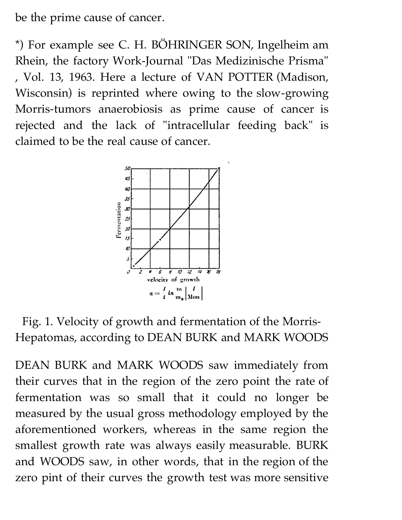be the prime cause of cancer.

\*) For example see C. H. BÖHRINGER SON, Ingelheim am Rhein, the factory Work-Journal "Das Medizinische Prisma" , Vol. 13, 1963. Here a lecture of VAN POTTER (Madison, Wisconsin) is reprinted where owing to the slow-growing Morris-tumors anaerobiosis as prime cause of cancer is rejected and the lack of "intracellular feeding back" is claimed to be the real cause of cancer.



Fig. 1. Velocity of growth and fermentation of the Morris-Hepatomas, according to DEAN BURK and MARK WOODS

DEAN BURK and MARK WOODS saw immediately from their curves that in the region of the zero point the rate of fermentation was so small that it could no longer be measured by the usual gross methodology employed by the aforementioned workers, whereas in the same region the smallest growth rate was always easily measurable. BURK and WOODS saw, in other words, that in the region of the zero pint of their curves the growth test was more sensitive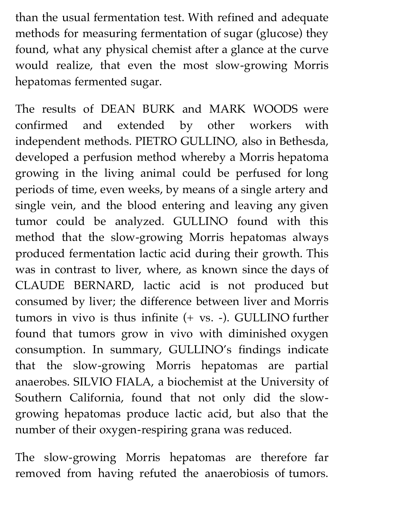than the usual fermentation test. With refined and adequate methods for measuring fermentation of sugar (glucose) they found, what any physical chemist after a glance at the curve would realize, that even the most slow-growing Morris hepatomas fermented sugar.

The results of DEAN BURK and MARK WOODS were confirmed and extended by other workers with independent methods. PIETRO GULLINO, also in Bethesda, developed a perfusion method whereby a Morris hepatoma growing in the living animal could be perfused for long periods of time, even weeks, by means of a single artery and single vein, and the blood entering and leaving any given tumor could be analyzed. GULLINO found with this method that the slow-growing Morris hepatomas always produced fermentation lactic acid during their growth. This was in contrast to liver, where, as known since the days of CLAUDE BERNARD, lactic acid is not produced but consumed by liver; the difference between liver and Morris tumors in vivo is thus infinite (+ vs. -). GULLINO further found that tumors grow in vivo with diminished oxygen consumption. In summary, GULLINO's findings indicate that the slow-growing Morris hepatomas are partial anaerobes. SILVIO FIALA, a biochemist at the University of Southern California, found that not only did the slowgrowing hepatomas produce lactic acid, but also that the number of their oxygen-respiring grana was reduced.

The slow-growing Morris hepatomas are therefore far removed from having refuted the anaerobiosis of tumors.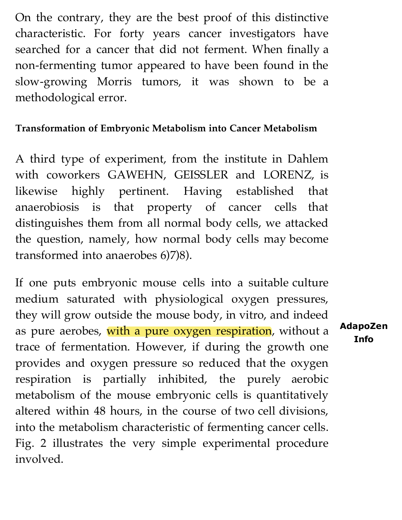On the contrary, they are the best proof of this distinctive characteristic. For forty years cancer investigators have searched for a cancer that did not ferment. When finally a non-fermenting tumor appeared to have been found in the slow-growing Morris tumors, it was shown to be a methodological error.

#### **Transformation of Embryonic Metabolism into Cancer Metabolism**

A third type of experiment, from the institute in Dahlem with coworkers GAWEHN, GEISSLER and LORENZ, is likewise highly pertinent. Having established that anaerobiosis is that property of cancer cells that distinguishes them from all normal body cells, we attacked the question, namely, how normal body cells may become transformed into anaerobes 6)7)8).

If one puts embryonic mouse cells into a suitable culture medium saturated with physiological oxygen pressures, they will grow outside the mouse body, in vitro, and indeed as pure aerobes, [with a pure oxygen respiration,](http://www.nativeremedies-store.com/ShoppingCart.asp?ProductCode=ADZ001&img=980&kbid=17581) without a trace of fermentation. However, if during the growth one provides and oxygen pressure so reduced that the oxygen respiration is partially inhibited, the purely aerobic metabolism of the mouse embryonic cells is quantitatively altered within 48 hours, in the course of two cell divisions, into the metabolism characteristic of fermenting cancer cells. Fig. 2 illustrates the very simple experimental procedure involved.

**[AdapoZen](http://www.nativeremedies.com/products/adaptozen-adaptogens-ph-balance-body.html?img=971&kbid=17581) Info**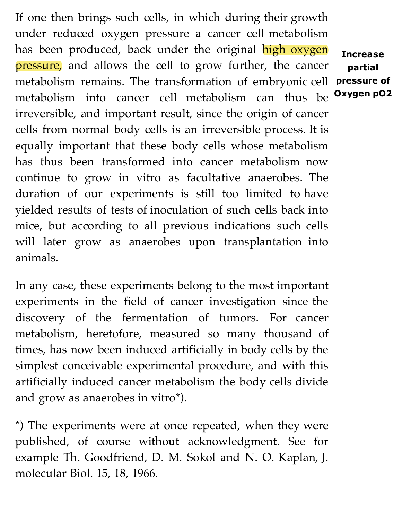If one then brings such cells, in which during their growth under reduced oxygen pressure a cancer cell metabolism has been produced, back under the original high oxygen pressure, and allows the cell to grow further, the cancer metabolism remains. The transformation of embryonic cell metabolism into cancer cell metabolism can thus be irreversible, and important result, since the origin of cancer cells from normal body cells is an irreversible process. It is equally important that these body cells whose metabolism has thus been transformed into cancer metabolism now continue to grow in vitro as facultative anaerobes. The duration of our experiments is still too limited to have yielded results of tests of inoculation of such cells back into mice, but according to all previous indications such cells will later grow as anaerobes upon transplantation into animals. **[Oxygen pO2](http://www.sri.new-planet.net/)**

**Increase**

**partial** 

**pressure of**

In any case, these experiments belong to the most important experiments in the field of cancer investigation since the discovery of the fermentation of tumors. For cancer metabolism, heretofore, measured so many thousand of times, has now been induced artificially in body cells by the simplest conceivable experimental procedure, and with this artificially induced cancer metabolism the body cells divide and grow as anaerobes in vitro\*).

\*) The experiments were at once repeated, when they were published, of course without acknowledgment. See for example Th. Goodfriend, D. M. Sokol and N. O. Kaplan, J. molecular Biol. 15, 18, 1966.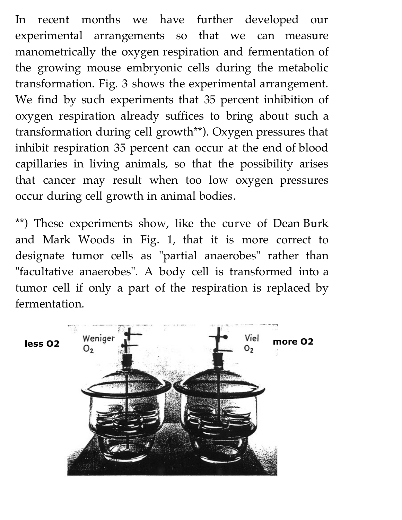In recent months we have further developed our experimental arrangements so that we can measure manometrically the oxygen respiration and fermentation of the growing mouse embryonic cells during the metabolic transformation. Fig. 3 shows the experimental arrangement. We find by such experiments that 35 percent inhibition of oxygen respiration already suffices to bring about such a transformation during cell growth\*\*). Oxygen pressures that inhibit respiration 35 percent can occur at the end of blood capillaries in living animals, so that the possibility arises that cancer may result when too low oxygen pressures occur during cell growth in animal bodies.

\*\*) These experiments show, like the curve of Dean Burk and Mark Woods in Fig. 1, that it is more correct to designate tumor cells as "partial anaerobes" rather than "facultative anaerobes". A body cell is transformed into a tumor cell if only a part of the respiration is replaced by fermentation.

**less O2 Meniger**  $\frac{1}{\sqrt{2}}$  **more O2 more O2**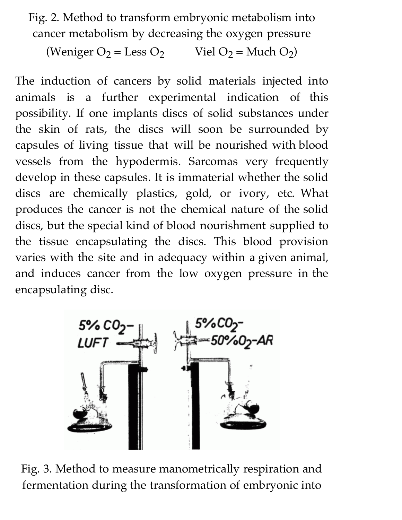Fig. 2. Method to transform embryonic metabolism into cancer metabolism by decreasing the oxygen pressure

(Weniger  $O_2$  = Less  $O_2$  Viel  $O_2$  = Much  $O_2$ )

The induction of cancers by solid materials injected into animals is a further experimental indication of this possibility. If one implants discs of solid substances under the skin of rats, the discs will soon be surrounded by capsules of living tissue that will be nourished with blood vessels from the hypodermis. Sarcomas very frequently develop in these capsules. It is immaterial whether the solid discs are chemically plastics, gold, or ivory, etc. What produces the cancer is not the chemical nature of the solid discs, but the special kind of blood nourishment supplied to the tissue encapsulating the discs. This blood provision varies with the site and in adequacy within a given animal, and induces cancer from the low oxygen pressure in the encapsulating disc.



Fig. 3. Method to measure manometrically respiration and fermentation during the transformation of embryonic into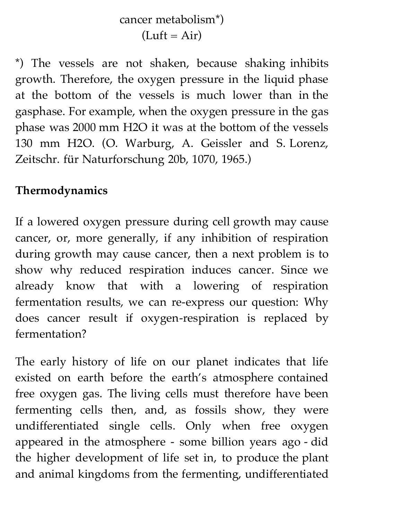### cancer metabolism\*)  $(Luft = Air)$

\*) The vessels are not shaken, because shaking inhibits growth. Therefore, the oxygen pressure in the liquid phase at the bottom of the vessels is much lower than in the gasphase. For example, when the oxygen pressure in the gas phase was 2000 mm H2O it was at the bottom of the vessels 130 mm H2O. (O. Warburg, A. Geissler and S. Lorenz, Zeitschr. für Naturforschung 20b, 1070, 1965.)

### **Thermodynamics**

If a lowered oxygen pressure during cell growth may cause cancer, or, more generally, if any inhibition of respiration during growth may cause cancer, then a next problem is to show why reduced respiration induces cancer. Since we already know that with a lowering of respiration fermentation results, we can re-express our question: Why does cancer result if oxygen-respiration is replaced by fermentation?

The early history of life on our planet indicates that life existed on earth before the earth's atmosphere contained free oxygen gas. The living cells must therefore have been fermenting cells then, and, as fossils show, they were undifferentiated single cells. Only when free oxygen appeared in the atmosphere - some billion years ago - did the higher development of life set in, to produce the plant and animal kingdoms from the fermenting, undifferentiated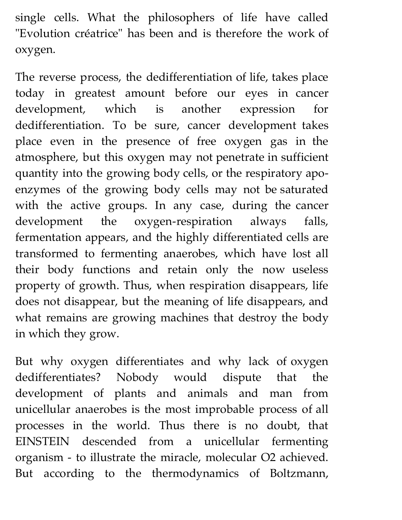single cells. What the philosophers of life have called "Evolution créatrice" has been and is therefore the work of oxygen.

The reverse process, the dedifferentiation of life, takes place today in greatest amount before our eyes in cancer development, which is another expression for dedifferentiation. To be sure, cancer development takes place even in the presence of free oxygen gas in the atmosphere, but this oxygen may not penetrate in sufficient quantity into the growing body cells, or the respiratory apoenzymes of the growing body cells may not be saturated with the active groups. In any case, during the cancer development the oxygen-respiration always falls, fermentation appears, and the highly differentiated cells are transformed to fermenting anaerobes, which have lost all their body functions and retain only the now useless property of growth. Thus, when respiration disappears, life does not disappear, but the meaning of life disappears, and what remains are growing machines that destroy the body in which they grow.

But why oxygen differentiates and why lack of oxygen dedifferentiates? Nobody would dispute that the development of plants and animals and man from unicellular anaerobes is the most improbable process of all processes in the world. Thus there is no doubt, that EINSTEIN descended from a unicellular fermenting organism - to illustrate the miracle, molecular O2 achieved. But according to the thermodynamics of Boltzmann,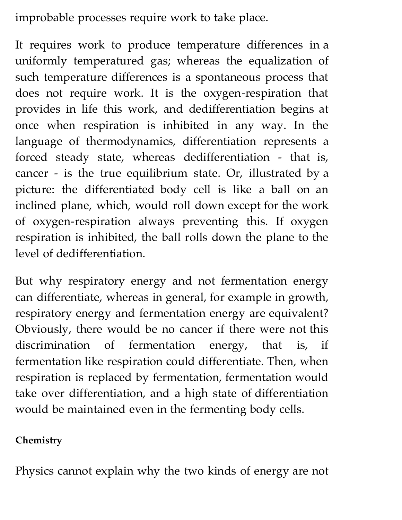improbable processes require work to take place.

It requires work to produce temperature differences in a uniformly temperatured gas; whereas the equalization of such temperature differences is a spontaneous process that does not require work. It is the oxygen-respiration that provides in life this work, and dedifferentiation begins at once when respiration is inhibited in any way. In the language of thermodynamics, differentiation represents a forced steady state, whereas dedifferentiation - that is, cancer - is the true equilibrium state. Or, illustrated by a picture: the differentiated body cell is like a ball on an inclined plane, which, would roll down except for the work of oxygen-respiration always preventing this. If oxygen respiration is inhibited, the ball rolls down the plane to the level of dedifferentiation.

But why respiratory energy and not fermentation energy can differentiate, whereas in general, for example in growth, respiratory energy and fermentation energy are equivalent? Obviously, there would be no cancer if there were not this discrimination of fermentation energy, that is, if fermentation like respiration could differentiate. Then, when respiration is replaced by fermentation, fermentation would take over differentiation, and a high state of differentiation would be maintained even in the fermenting body cells.

#### **Chemistry**

Physics cannot explain why the two kinds of energy are not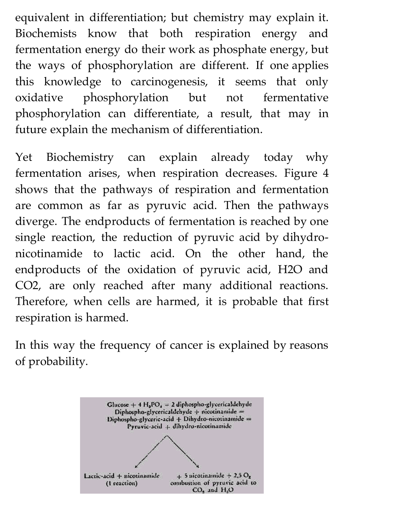equivalent in differentiation; but chemistry may explain it. Biochemists know that both respiration energy and fermentation energy do their work as phosphate energy, but the ways of phosphorylation are different. If one applies this knowledge to carcinogenesis, it seems that only oxidative phosphorylation but not fermentative phosphorylation can differentiate, a result, that may in future explain the mechanism of differentiation.

Yet Biochemistry can explain already today why fermentation arises, when respiration decreases. Figure 4 shows that the pathways of respiration and fermentation are common as far as pyruvic acid. Then the pathways diverge. The endproducts of fermentation is reached by one single reaction, the reduction of pyruvic acid by dihydronicotinamide to lactic acid. On the other hand, the endproducts of the oxidation of pyruvic acid, H2O and CO2, are only reached after many additional reactions. Therefore, when cells are harmed, it is probable that first respiration is harmed.

In this way the frequency of cancer is explained by reasons of probability.

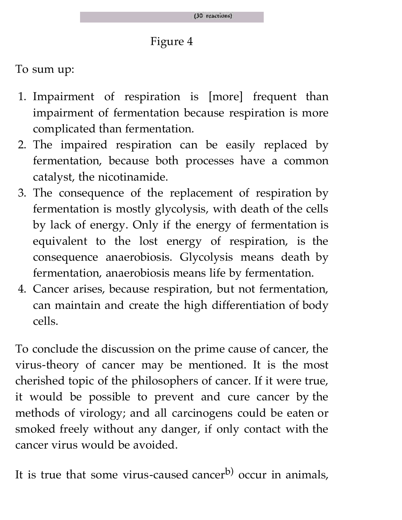#### Figure 4

To sum up:

- 1. Impairment of respiration is [more] frequent than impairment of fermentation because respiration is more complicated than fermentation.
- 2. The impaired respiration can be easily replaced by fermentation, because both processes have a common catalyst, the nicotinamide.
- 3. The consequence of the replacement of respiration by fermentation is mostly glycolysis, with death of the cells by lack of energy. Only if the energy of fermentation is equivalent to the lost energy of respiration, is the consequence anaerobiosis. Glycolysis means death by fermentation, anaerobiosis means life by fermentation.
- 4. Cancer arises, because respiration, but not fermentation, can maintain and create the high differentiation of body cells.

To conclude the discussion on the prime cause of cancer, the virus-theory of cancer may be mentioned. It is the most cherished topic of the philosophers of cancer. If it were true, it would be possible to prevent and cure cancer by the methods of virology; and all carcinogens could be eaten or smoked freely without any danger, if only contact with the cancer virus would be avoided.

It is true that some virus-caused cancer<sup>b)</sup> occur in animals,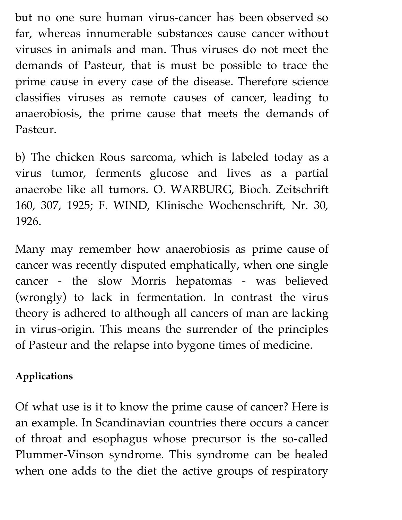but no one sure human virus-cancer has been observed so far, whereas innumerable substances cause cancer without viruses in animals and man. Thus viruses do not meet the demands of Pasteur, that is must be possible to trace the prime cause in every case of the disease. Therefore science classifies viruses as remote causes of cancer, leading to anaerobiosis, the prime cause that meets the demands of Pasteur.

b) The chicken Rous sarcoma, which is labeled today as a virus tumor, ferments glucose and lives as a partial anaerobe like all tumors. O. WARBURG, Bioch. Zeitschrift 160, 307, 1925; F. WIND, Klinische Wochenschrift, Nr. 30, 1926.

Many may remember how anaerobiosis as prime cause of cancer was recently disputed emphatically, when one single cancer - the slow Morris hepatomas - was believed (wrongly) to lack in fermentation. In contrast the virus theory is adhered to although all cancers of man are lacking in virus-origin. This means the surrender of the principles of Pasteur and the relapse into bygone times of medicine.

#### **Applications**

Of what use is it to know the prime cause of cancer? Here is an example. In Scandinavian countries there occurs a cancer of throat and esophagus whose precursor is the so-called Plummer-Vinson syndrome. This syndrome can be healed when one adds to the diet the active groups of respiratory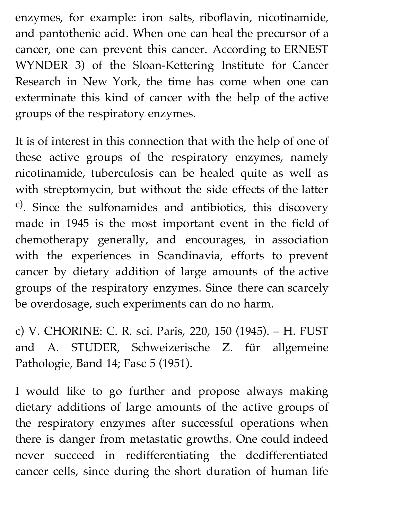enzymes, for example: iron salts, riboflavin, nicotinamide, and pantothenic acid. When one can heal the precursor of a cancer, one can prevent this cancer. According to ERNEST WYNDER 3) of the Sloan-Kettering Institute for Cancer Research in New York, the time has come when one can exterminate this kind of cancer with the help of the active groups of the respiratory enzymes.

It is of interest in this connection that with the help of one of these active groups of the respiratory enzymes, namely nicotinamide, tuberculosis can be healed quite as well as with streptomycin, but without the side effects of the latter c). Since the sulfonamides and antibiotics, this discovery made in 1945 is the most important event in the field of chemotherapy generally, and encourages, in association with the experiences in Scandinavia, efforts to prevent cancer by dietary addition of large amounts of the active groups of the respiratory enzymes. Since there can scarcely be overdosage, such experiments can do no harm.

c) V. CHORINE: C. R. sci. Paris, 220, 150 (1945). – H. FUST and A. STUDER, Schweizerische Z. für allgemeine Pathologie, Band 14; Fasc 5 (1951).

I would like to go further and propose always making dietary additions of large amounts of the active groups of the respiratory enzymes after successful operations when there is danger from metastatic growths. One could indeed never succeed in redifferentiating the dedifferentiated cancer cells, since during the short duration of human life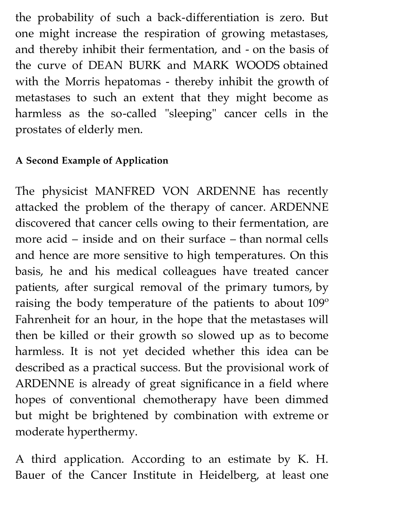the probability of such a back-differentiation is zero. But one might increase the respiration of growing metastases, and thereby inhibit their fermentation, and - on the basis of the curve of DEAN BURK and MARK WOODS obtained with the Morris hepatomas - thereby inhibit the growth of metastases to such an extent that they might become as harmless as the so-called "sleeping" cancer cells in the prostates of elderly men.

#### **A Second Example of Application**

The physicist MANFRED VON ARDENNE has recently attacked the problem of the therapy of cancer. ARDENNE discovered that cancer cells owing to their fermentation, are more acid – inside and on their surface – than normal cells and hence are more sensitive to high temperatures. On this basis, he and his medical colleagues have treated cancer patients, after surgical removal of the primary tumors, by raising the body temperature of the patients to about 109º Fahrenheit for an hour, in the hope that the metastases will then be killed or their growth so slowed up as to become harmless. It is not yet decided whether this idea can be described as a practical success. But the provisional work of ARDENNE is already of great significance in a field where hopes of conventional chemotherapy have been dimmed but might be brightened by combination with extreme or moderate hyperthermy.

A third application. According to an estimate by K. H. Bauer of the Cancer Institute in Heidelberg, at least one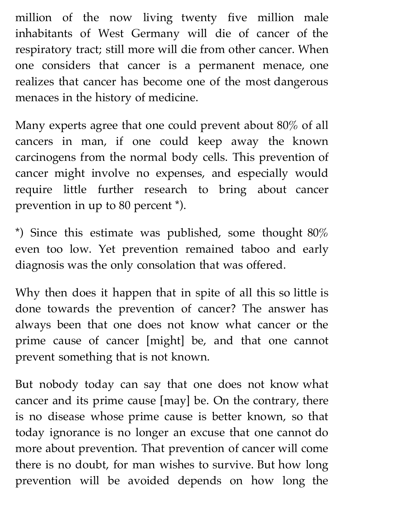million of the now living twenty five million male inhabitants of West Germany will die of cancer of the respiratory tract; still more will die from other cancer. When one considers that cancer is a permanent menace, one realizes that cancer has become one of the most dangerous menaces in the history of medicine.

Many experts agree that one could prevent about 80% of all cancers in man, if one could keep away the known carcinogens from the normal body cells. This prevention of cancer might involve no expenses, and especially would require little further research to bring about cancer prevention in up to 80 percent \*).

\*) Since this estimate was published, some thought  $80\%$ even too low. Yet prevention remained taboo and early diagnosis was the only consolation that was offered.

Why then does it happen that in spite of all this so little is done towards the prevention of cancer? The answer has always been that one does not know what cancer or the prime cause of cancer [might] be, and that one cannot prevent something that is not known.

But nobody today can say that one does not know what cancer and its prime cause [may] be. On the contrary, there is no disease whose prime cause is better known, so that today ignorance is no longer an excuse that one cannot do more about prevention. That prevention of cancer will come there is no doubt, for man wishes to survive. But how long prevention will be avoided depends on how long the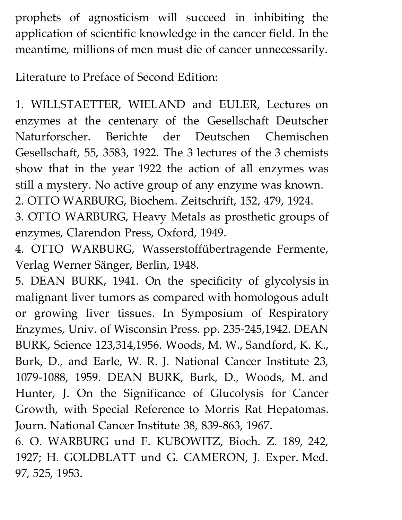prophets of agnosticism will succeed in inhibiting the application of scientific knowledge in the cancer field. In the meantime, millions of men must die of cancer unnecessarily.

Literature to Preface of Second Edition:

1. WILLSTAETTER, WIELAND and EULER, Lectures on enzymes at the centenary of the Gesellschaft Deutscher Naturforscher. Berichte der Deutschen Chemischen Gesellschaft, 55, 3583, 1922. The 3 lectures of the 3 chemists show that in the year 1922 the action of all enzymes was still a mystery. No active group of any enzyme was known.

2. OTTO WARBURG, Biochem. Zeitschrift, 152, 479, 1924.

3. OTTO WARBURG, Heavy Metals as prosthetic groups of enzymes, Clarendon Press, Oxford, 1949.

4. OTTO WARBURG, Wasserstoffübertragende Fermente, Verlag Werner Sänger, Berlin, 1948.

5. DEAN BURK, 1941. On the specificity of glycolysis in malignant liver tumors as compared with homologous adult or growing liver tissues. In Symposium of Respiratory Enzymes, Univ. of Wisconsin Press. pp. 235-245,1942. DEAN BURK, Science 123,314,1956. Woods, M. W., Sandford, K. K., Burk, D., and Earle, W. R. J. National Cancer Institute 23, 1079-1088, 1959. DEAN BURK, Burk, D., Woods, M. and Hunter, J. On the Significance of Glucolysis for Cancer Growth, with Special Reference to Morris Rat Hepatomas. Journ. National Cancer Institute 38, 839-863, 1967.

6. O. WARBURG und F. KUBOWITZ, Bioch. Z. 189, 242, 1927; H. GOLDBLATT und G. CAMERON, J. Exper. Med. 97, 525, 1953.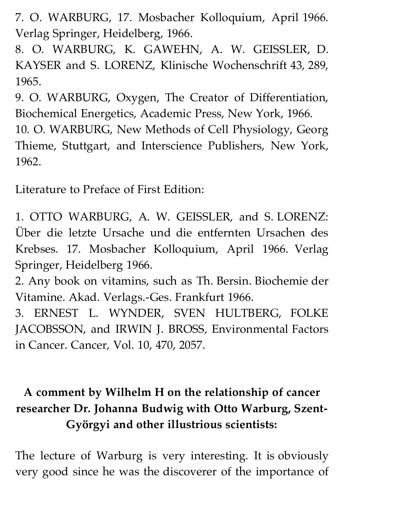7. O. WARBURG, 17. Mosbacher Kolloquium, April 1966. Verlag Springer, Heidelberg, 1966.

8. O. WARBURG, K. GAWEHN, A. W. GEISSLER, D. KAYSER and S. LORENZ, Klinische Wochenschrift 43, 289, 1965.

9. O. WARBURG, Oxygen, The Creator of Differentiation, Biochemical Energetics, Academic Press, New York, 1966.

10. O. WARBURG, New Methods of Cell Physiology, Georg Thieme, Stuttgart, and Interscience Publishers, New York, 1962.

Literature to Preface of First Edition:

1. OTTO WARBURG, A. W. GEISSLER, and S. LORENZ: Über die letzte Ursache und die entfernten Ursachen des Krebses. 17. Mosbacher Kolloquium, April 1966. Verlag Springer, Heidelberg 1966.

2. Any book on vitamins, such as Th. Bersin. Biochemie der Vitamine. Akad. Verlags.-Ges. Frankfurt 1966.

3. ERNEST L. WYNDER, SVEN HULTBERG, FOLKE JACOBSSON, and IRWIN J. BROSS, Environmental Factors in Cancer. Cancer, Vol. 10, 470, 2057.

## **A comment by Wilhelm H on the relationship of cancer researcher Dr. Johanna Budwig with Otto Warburg, Szent-Györgyi and other illustrious scientists:**

The lecture of Warburg is very interesting. It is obviously very good since he was the discoverer of the importance of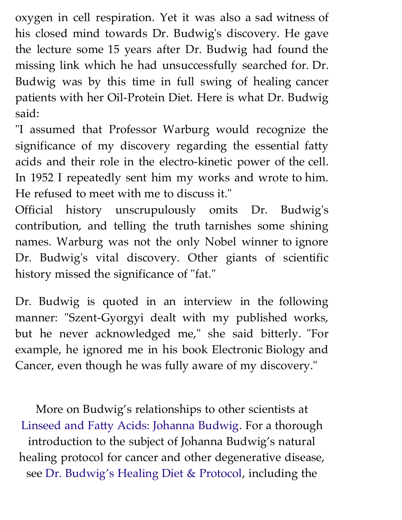oxygen in cell respiration. Yet it was also a sad witness of his closed mind towards Dr. Budwig's discovery. He gave the lecture some 15 years after Dr. Budwig had found the missing link which he had unsuccessfully searched for. Dr. Budwig was by this time in full swing of healing cancer patients with her Oil-Protein Diet. Here is what Dr. Budwig said:

"I assumed that Professor Warburg would recognize the significance of my discovery regarding the essential fatty acids and their role in the electro-kinetic power of the cell. In 1952 I repeatedly sent him my works and wrote to him. He refused to meet with me to discuss it."

Official history unscrupulously omits Dr. Budwig's contribution, and telling the truth tarnishes some shining names. Warburg was not the only Nobel winner to ignore Dr. Budwig's vital discovery. Other giants of scientific history missed the significance of "fat."

Dr. Budwig is quoted in an interview in the following manner: "Szent-Gyorgyi dealt with my published works, but he never acknowledged me," she said bitterly. "For example, he ignored me in his book Electronic Biology and Cancer, even though he was fully aware of my discovery."

More on Budwig's relationships to other scientists at [Linseed and Fatty Acids: Johanna Budwig.](http://www.healingcancernaturally.com/budwig_protocol_x.html#Linseed_and_fatty_acids) For a thorough introduction to the subject of Johanna Budwig's natural healing protocol for cancer and other degenerative disease, see [Dr. Budwig's Healing Diet & Protocol](http://www.healingcancernaturally.com/budwig_protocol.html), including the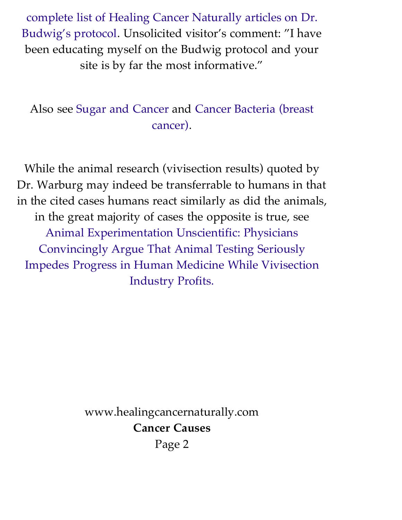complete list of Healing Cancer Naturally articles on Dr. [Budwig's protocol. Unsolicited visitor's comment: "I have](http://www.healingcancernaturally.com/budwig_protocol.html#Budwig_menu) been educating myself on the Budwig protocol and your site is by far the most informative."

Also see [Sugar and Cance](http://www.healingcancernaturally.com/sugar-and-cancer.html)[r and Cancer Bacteria \(breast](http://www.healingcancernaturally.com/causes2.html) cancer).

While the animal research (vivisection results) quoted by Dr. Warburg may indeed be transferrable to humans in that in the cited cases humans react similarly as did the animals, in the great majority of cases the opposite is true, see Animal Experimentation Unscientific: Physicians Convincingly Argue That Animal Testing Seriously [Impedes Progress in Human Medicine While Vivisection](http://www.healingcancernaturally.com/animal-testing-vivisection.html) Industry Profits.

> www.healingcancernaturally.com **Cancer Causes** Page 2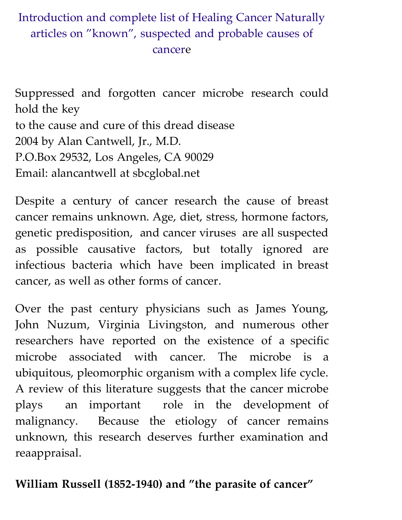## [Introduction and complete list of Healing Cancer Naturally](http://www.healingcancernaturally.com/causes-of-cancer.html) articles on "known", suspected and probable causes of cancere

Suppressed and forgotten cancer microbe research could hold the key to the cause and cure of this dread disease 2004 by Alan Cantwell, Jr., M.D. P.O.Box 29532, Los Angeles, CA 90029 Email: alancantwell at sbcglobal.net

Despite a century of cancer research the cause of breast cancer remains unknown. Age, diet, stress, hormone factors, genetic predisposition, and cancer viruses are all suspected as possible causative factors, but totally ignored are infectious bacteria which have been implicated in breast cancer, as well as other forms of cancer.

Over the past century physicians such as James Young, John Nuzum, Virginia Livingston, and numerous other researchers have reported on the existence of a specific microbe associated with cancer. The microbe is a ubiquitous, pleomorphic organism with a complex life cycle. A review of this literature suggests that the cancer microbe plays an important role in the development of malignancy. Because the etiology of cancer remains unknown, this research deserves further examination and reaappraisal.

### **William Russell (1852-1940) and "the parasite of cancer"**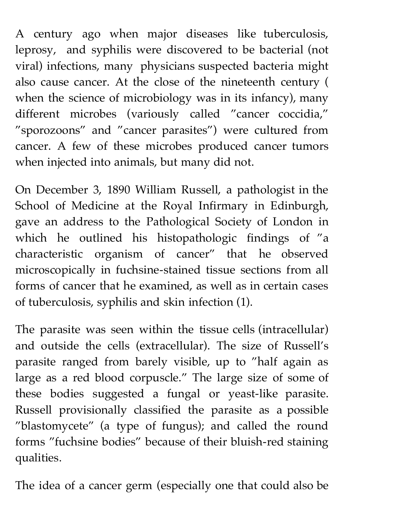A century ago when major diseases like tuberculosis, leprosy, and syphilis were discovered to be bacterial (not viral) infections, many physicians suspected bacteria might also cause cancer. At the close of the nineteenth century ( when the science of microbiology was in its infancy), many different microbes (variously called "cancer coccidia," "sporozoons" and "cancer parasites") were cultured from cancer. A few of these microbes produced cancer tumors when injected into animals, but many did not.

On December 3, 1890 William Russell, a pathologist in the School of Medicine at the Royal Infirmary in Edinburgh, gave an address to the Pathological Society of London in which he outlined his histopathologic findings of "a characteristic organism of cancer" that he observed microscopically in fuchsine-stained tissue sections from all forms of cancer that he examined, as well as in certain cases of tuberculosis, syphilis and skin infection (1).

The parasite was seen within the tissue cells (intracellular) and outside the cells (extracellular). The size of Russell's parasite ranged from barely visible, up to "half again as large as a red blood corpuscle." The large size of some of these bodies suggested a fungal or yeast-like parasite. Russell provisionally classified the parasite as a possible "blastomycete" (a type of fungus); and called the round forms "fuchsine bodies" because of their bluish-red staining qualities.

The idea of a cancer germ (especially one that could also be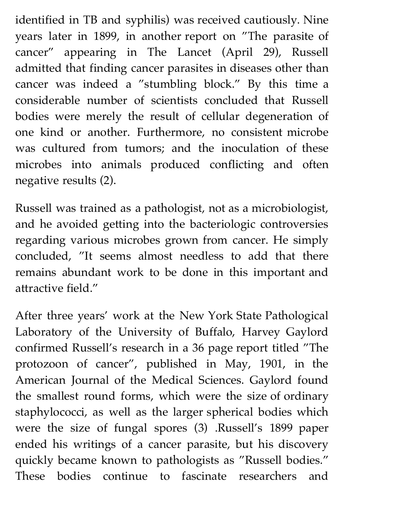identified in TB and syphilis) was received cautiously. Nine years later in 1899, in another report on "The parasite of cancer" appearing in The Lancet (April 29), Russell admitted that finding cancer parasites in diseases other than cancer was indeed a "stumbling block." By this time a considerable number of scientists concluded that Russell bodies were merely the result of cellular degeneration of one kind or another. Furthermore, no consistent microbe was cultured from tumors; and the inoculation of these microbes into animals produced conflicting and often negative results (2).

Russell was trained as a pathologist, not as a microbiologist, and he avoided getting into the bacteriologic controversies regarding various microbes grown from cancer. He simply concluded, "It seems almost needless to add that there remains abundant work to be done in this important and attractive field."

After three years' work at the New York State Pathological Laboratory of the University of Buffalo, Harvey Gaylord confirmed Russell's research in a 36 page report titled "The protozoon of cancer", published in May, 1901, in the American Journal of the Medical Sciences. Gaylord found the smallest round forms, which were the size of ordinary staphylococci, as well as the larger spherical bodies which were the size of fungal spores (3) .Russell's 1899 paper ended his writings of a cancer parasite, but his discovery quickly became known to pathologists as "Russell bodies." These bodies continue to fascinate researchers and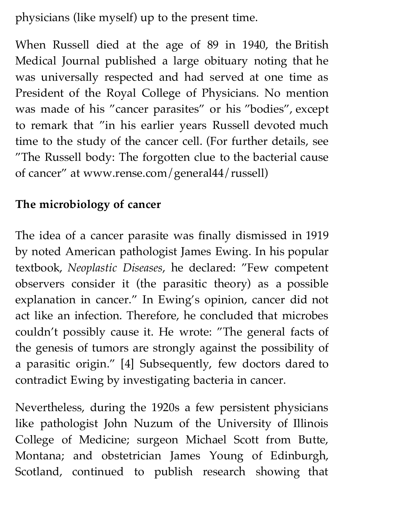physicians (like myself) up to the present time.

When Russell died at the age of 89 in 1940, the British Medical Journal published a large obituary noting that he was universally respected and had served at one time as President of the Royal College of Physicians. No mention was made of his "cancer parasites" or his "bodies", except to remark that "in his earlier years Russell devoted much time to the study of the cancer cell. (For further details, see "The Russell body: The forgotten clue to the bacterial cause of cancer" at www.rense.com/general44/russell)

### **The microbiology of cancer**

The idea of a cancer parasite was finally dismissed in 1919 by noted American pathologist James Ewing. In his popular textbook, *Neoplastic Diseases*, he declared: "Few competent observers consider it (the parasitic theory) as a possible explanation in cancer." In Ewing's opinion, cancer did not act like an infection. Therefore, he concluded that microbes couldn't possibly cause it. He wrote: "The general facts of the genesis of tumors are strongly against the possibility of a parasitic origin." [4] Subsequently, few doctors dared to contradict Ewing by investigating bacteria in cancer.

Nevertheless, during the 1920s a few persistent physicians like pathologist John Nuzum of the University of Illinois College of Medicine; surgeon Michael Scott from Butte, Montana; and obstetrician James Young of Edinburgh, Scotland, continued to publish research showing that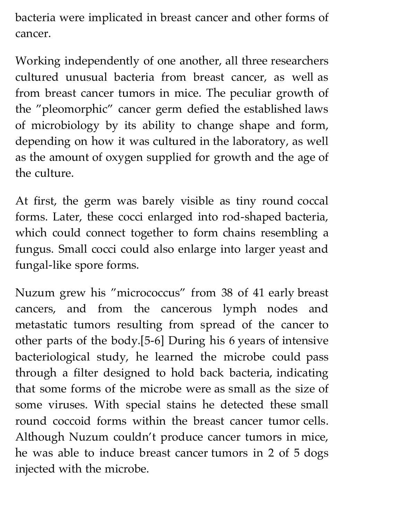bacteria were implicated in breast cancer and other forms of cancer.

Working independently of one another, all three researchers cultured unusual bacteria from breast cancer, as well as from breast cancer tumors in mice. The peculiar growth of the "pleomorphic" cancer germ defied the established laws of microbiology by its ability to change shape and form, depending on how it was cultured in the laboratory, as well as the amount of oxygen supplied for growth and the age of the culture.

At first, the germ was barely visible as tiny round coccal forms. Later, these cocci enlarged into rod-shaped bacteria, which could connect together to form chains resembling a fungus. Small cocci could also enlarge into larger yeast and fungal-like spore forms.

Nuzum grew his "micrococcus" from 38 of 41 early breast cancers, and from the cancerous lymph nodes and metastatic tumors resulting from spread of the cancer to other parts of the body.[5-6] During his 6 years of intensive bacteriological study, he learned the microbe could pass through a filter designed to hold back bacteria, indicating that some forms of the microbe were as small as the size of some viruses. With special stains he detected these small round coccoid forms within the breast cancer tumor cells. Although Nuzum couldn't produce cancer tumors in mice, he was able to induce breast cancer tumors in 2 of 5 dogs injected with the microbe.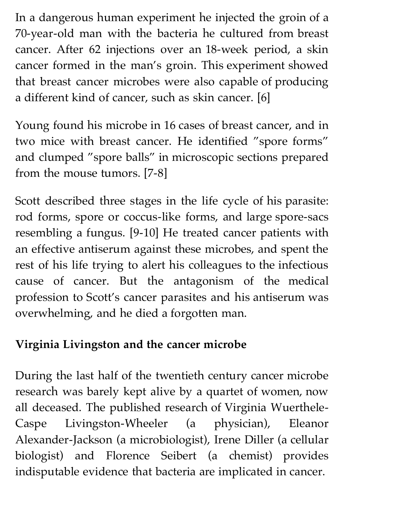In a dangerous human experiment he injected the groin of a 70-year-old man with the bacteria he cultured from breast cancer. After 62 injections over an 18-week period, a skin cancer formed in the man's groin. This experiment showed that breast cancer microbes were also capable of producing a different kind of cancer, such as skin cancer. [6]

Young found his microbe in 16 cases of breast cancer, and in two mice with breast cancer. He identified "spore forms" and clumped "spore balls" in microscopic sections prepared from the mouse tumors. [7-8]

Scott described three stages in the life cycle of his parasite: rod forms, spore or coccus-like forms, and large spore-sacs resembling a fungus. [9-10] He treated cancer patients with an effective antiserum against these microbes, and spent the rest of his life trying to alert his colleagues to the infectious cause of cancer. But the antagonism of the medical profession to Scott's cancer parasites and his antiserum was overwhelming, and he died a forgotten man.

### **Virginia Livingston and the cancer microbe**

During the last half of the twentieth century cancer microbe research was barely kept alive by a quartet of women, now all deceased. The published research of Virginia Wuerthele-Caspe Livingston-Wheeler (a physician), Eleanor Alexander-Jackson (a microbiologist), Irene Diller (a cellular biologist) and Florence Seibert (a chemist) provides indisputable evidence that bacteria are implicated in cancer.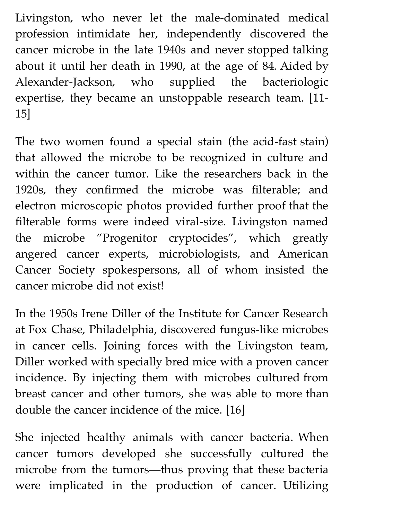Livingston, who never let the male-dominated medical profession intimidate her, independently discovered the cancer microbe in the late 1940s and never stopped talking about it until her death in 1990, at the age of 84. Aided by Alexander-Jackson, who supplied the bacteriologic expertise, they became an unstoppable research team. [11- 15]

The two women found a special stain (the acid-fast stain) that allowed the microbe to be recognized in culture and within the cancer tumor. Like the researchers back in the 1920s, they confirmed the microbe was filterable; and electron microscopic photos provided further proof that the filterable forms were indeed viral-size. Livingston named the microbe "Progenitor cryptocides", which greatly angered cancer experts, microbiologists, and American Cancer Society spokespersons, all of whom insisted the cancer microbe did not exist!

In the 1950s Irene Diller of the Institute for Cancer Research at Fox Chase, Philadelphia, discovered fungus-like microbes in cancer cells. Joining forces with the Livingston team, Diller worked with specially bred mice with a proven cancer incidence. By injecting them with microbes cultured from breast cancer and other tumors, she was able to more than double the cancer incidence of the mice. [16]

She injected healthy animals with cancer bacteria. When cancer tumors developed she successfully cultured the microbe from the tumors—thus proving that these bacteria were implicated in the production of cancer. Utilizing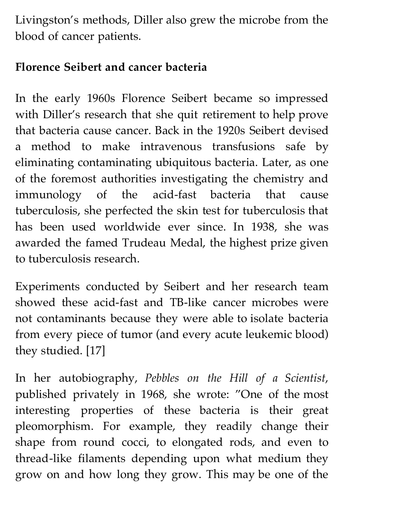Livingston's methods, Diller also grew the microbe from the blood of cancer patients.

### **Florence Seibert and cancer bacteria**

In the early 1960s Florence Seibert became so impressed with Diller's research that she quit retirement to help prove that bacteria cause cancer. Back in the 1920s Seibert devised a method to make intravenous transfusions safe by eliminating contaminating ubiquitous bacteria. Later, as one of the foremost authorities investigating the chemistry and immunology of the acid-fast bacteria that cause tuberculosis, she perfected the skin test for tuberculosis that has been used worldwide ever since. In 1938, she was awarded the famed Trudeau Medal, the highest prize given to tuberculosis research.

Experiments conducted by Seibert and her research team showed these acid-fast and TB-like cancer microbes were not contaminants because they were able to isolate bacteria from every piece of tumor (and every acute leukemic blood) they studied. [17]

In her autobiography, *Pebbles on the Hill of a Scientist*, published privately in 1968, she wrote: "One of the most interesting properties of these bacteria is their great pleomorphism. For example, they readily change their shape from round cocci, to elongated rods, and even to thread-like filaments depending upon what medium they grow on and how long they grow. This may be one of the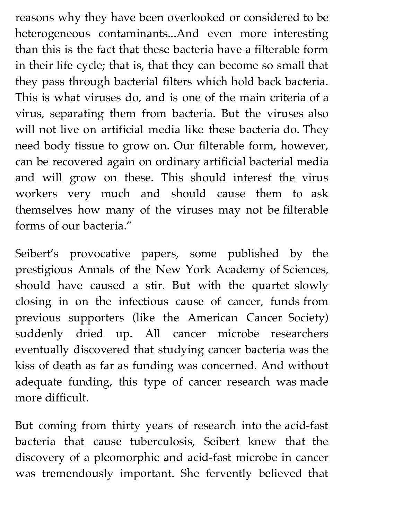reasons why they have been overlooked or considered to be heterogeneous contaminants...And even more interesting than this is the fact that these bacteria have a filterable form in their life cycle; that is, that they can become so small that they pass through bacterial filters which hold back bacteria. This is what viruses do, and is one of the main criteria of a virus, separating them from bacteria. But the viruses also will not live on artificial media like these bacteria do. They need body tissue to grow on. Our filterable form, however, can be recovered again on ordinary artificial bacterial media and will grow on these. This should interest the virus workers very much and should cause them to ask themselves how many of the viruses may not be filterable forms of our bacteria."

Seibert's provocative papers, some published by the prestigious Annals of the New York Academy of Sciences, should have caused a stir. But with the quartet slowly closing in on the infectious cause of cancer, funds from previous supporters (like the American Cancer Society) suddenly dried up. All cancer microbe researchers eventually discovered that studying cancer bacteria was the kiss of death as far as funding was concerned. And without adequate funding, this type of cancer research was made more difficult.

But coming from thirty years of research into the acid-fast bacteria that cause tuberculosis, Seibert knew that the discovery of a pleomorphic and acid-fast microbe in cancer was tremendously important. She fervently believed that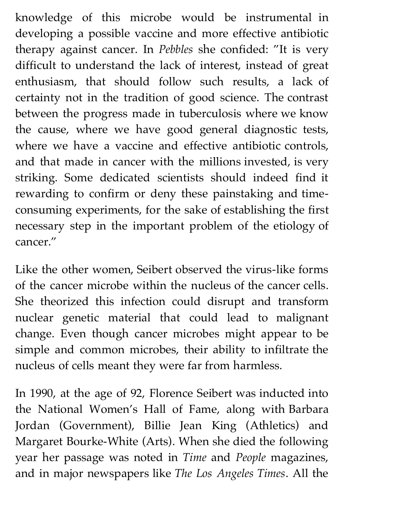knowledge of this microbe would be instrumental in developing a possible vaccine and more effective antibiotic therapy against cancer. In *Pebbles* she confided: "It is very difficult to understand the lack of interest, instead of great enthusiasm, that should follow such results, a lack of certainty not in the tradition of good science. The contrast between the progress made in tuberculosis where we know the cause, where we have good general diagnostic tests, where we have a vaccine and effective antibiotic controls, and that made in cancer with the millions invested, is very striking. Some dedicated scientists should indeed find it rewarding to confirm or deny these painstaking and timeconsuming experiments, for the sake of establishing the first necessary step in the important problem of the etiology of cancer."

Like the other women, Seibert observed the virus-like forms of the cancer microbe within the nucleus of the cancer cells. She theorized this infection could disrupt and transform nuclear genetic material that could lead to malignant change. Even though cancer microbes might appear to be simple and common microbes, their ability to infiltrate the nucleus of cells meant they were far from harmless.

In 1990, at the age of 92, Florence Seibert was inducted into the National Women's Hall of Fame, along with Barbara Jordan (Government), Billie Jean King (Athletics) and Margaret Bourke-White (Arts). When she died the following year her passage was noted in *Time* and *People* magazines, and in major newspapers like *The Los Angeles Times*. All the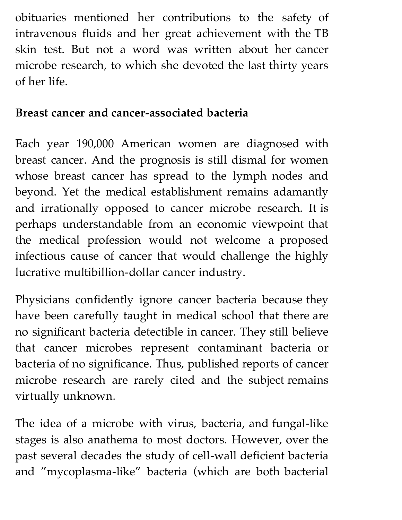obituaries mentioned her contributions to the safety of intravenous fluids and her great achievement with the TB skin test. But not a word was written about her cancer microbe research, to which she devoted the last thirty years of her life.

### **Breast cancer and cancer-associated bacteria**

Each year 190,000 American women are diagnosed with breast cancer. And the prognosis is still dismal for women whose breast cancer has spread to the lymph nodes and beyond. Yet the medical establishment remains adamantly and irrationally opposed to cancer microbe research. It is perhaps understandable from an economic viewpoint that the medical profession would not welcome a proposed infectious cause of cancer that would challenge the highly lucrative multibillion-dollar cancer industry.

Physicians confidently ignore cancer bacteria because they have been carefully taught in medical school that there are no significant bacteria detectible in cancer. They still believe that cancer microbes represent contaminant bacteria or bacteria of no significance. Thus, published reports of cancer microbe research are rarely cited and the subject remains virtually unknown.

The idea of a microbe with virus, bacteria, and fungal-like stages is also anathema to most doctors. However, over the past several decades the study of cell-wall deficient bacteria and "mycoplasma-like" bacteria (which are both bacterial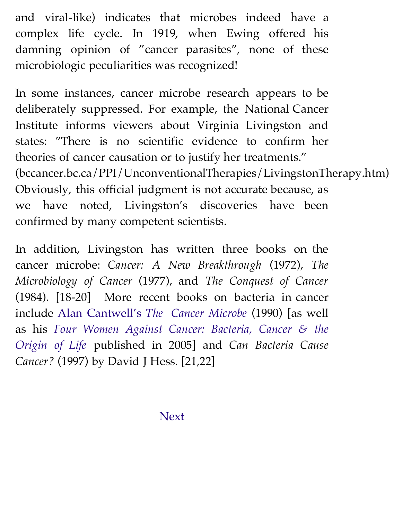and viral-like) indicates that microbes indeed have a complex life cycle. In 1919, when Ewing offered his damning opinion of "cancer parasites", none of these microbiologic peculiarities was recognized!

In some instances, cancer microbe research appears to be deliberately suppressed. For example, the National Cancer Institute informs viewers about Virginia Livingston and states: "There is no scientific evidence to confirm her theories of cancer causation or to justify her treatments." (bccancer.bc.ca/PPI/UnconventionalTherapies/LivingstonTherapy.htm) Obviously, this official judgment is not accurate because, as we have noted, Livingston's discoveries have been confirmed by many competent scientists.

In addition, Livingston has written three books on the cancer microbe: *Cancer: A New Breakthrough* (1972), *The Microbiology of Cancer* (1977), and *The Conquest of Cancer* (1984). [18-20] More recent books on bacteria in cancer include Alan Cantwell's *[The Cancer Microbe](http://www.healingcancernaturally.com/causes3.html#Cantwell_books)* (1990) [as well as his *[Four Women Against Cancer: Bacteria, Cancer & the](http://www.healingcancernaturally.com/causes3.html#Cantwell_books) Origin of Life* published in 2005] and *Can Bacteria Cause Cancer?* (1997) by David J Hess. [21,22]

[Next](http://www.healingcancernaturally.com/causes3.html)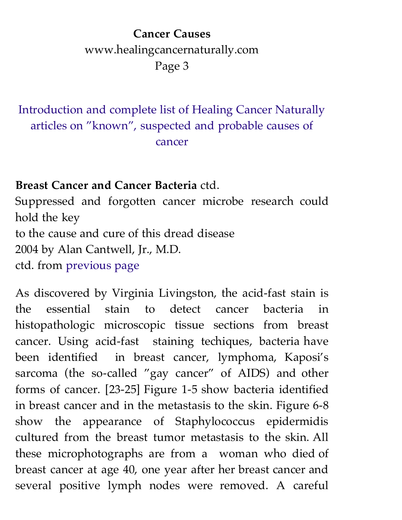## **Cancer Causes** www.healingcancernaturally.com Page 3

## [Introduction and complete list of Healing Cancer Naturally](http://www.healingcancernaturally.com/causes-of-cancer.html) articles on "known", suspected and probable causes of cancer

### **Breast Cancer and Cancer Bacteria** ctd.

Suppressed and forgotten cancer microbe research could hold the key to the cause and cure of this dread disease 2004 by Alan Cantwell, Jr., M.D. ctd. from [previous page](http://www.healingcancernaturally.com/causes2.html)

As discovered by Virginia Livingston, the acid-fast stain is the essential stain to detect cancer bacteria in histopathologic microscopic tissue sections from breast cancer. Using acid-fast staining techiques, bacteria have been identified in breast cancer, lymphoma, Kaposi's sarcoma (the so-called "gay cancer" of AIDS) and other forms of cancer. [23-25] Figure 1-5 show bacteria identified in breast cancer and in the metastasis to the skin. Figure 6-8 show the appearance of Staphylococcus epidermidis cultured from the breast tumor metastasis to the skin. All these microphotographs are from a woman who died of breast cancer at age 40, one year after her breast cancer and several positive lymph nodes were removed. A careful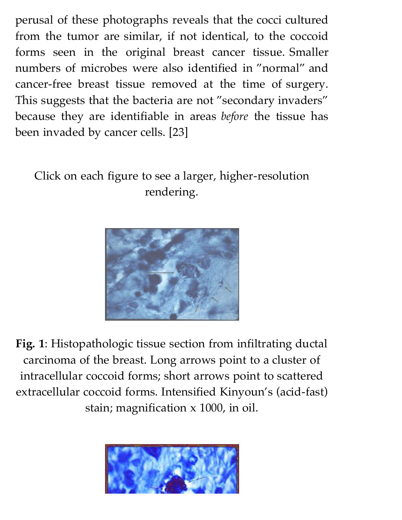perusal of these photographs reveals that the cocci cultured from the tumor are similar, if not identical, to the coccoid forms seen in the original breast cancer tissue. Smaller numbers of microbes were also identified in "normal" and cancer-free breast tissue removed at the time of surgery. This suggests that the bacteria are not "secondary invaders" because they are identifiable in areas *before* the tissue has been invaded by cancer cells. [23]

## Click on each figure to see a larger, higher-resolution rendering.



**Fig. 1**: Histopathologic tissue section from infiltrating ductal carcinoma of the breast. Long arrows point to a cluster of intracellular coccoid forms; short arrows point to scattered extracellular coccoid forms. Intensified Kinyoun's (acid-fast) stain; magnification x 1000, in oil.

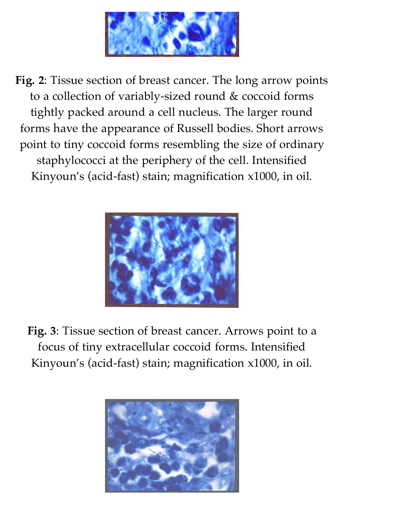

**Fig. 2**: Tissue section of breast cancer. The long arrow points to a collection of variably-sized round & coccoid forms tightly packed around a cell nucleus. The larger round forms have the appearance of Russell bodies. Short arrows point to tiny coccoid forms resembling the size of ordinary staphylococci at the periphery of the cell. Intensified Kinyoun's (acid-fast) stain; magnification x1000, in oil.



**Fig. 3**: Tissue section of breast cancer. Arrows point to a focus of tiny extracellular coccoid forms. Intensified Kinyoun's (acid-fast) stain; magnification x1000, in oil.

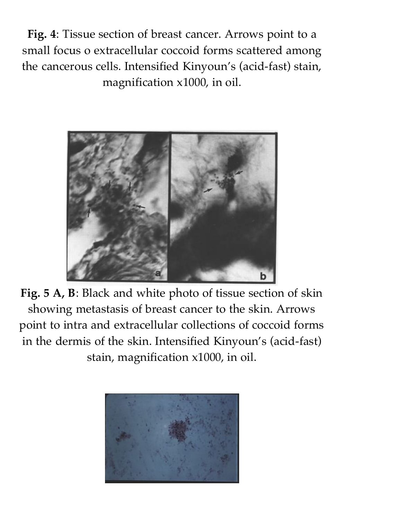**Fig. 4**: Tissue section of breast cancer. Arrows point to a small focus o extracellular coccoid forms scattered among the cancerous cells. Intensified Kinyoun's (acid-fast) stain, magnification x1000, in oil.



**Fig. 5 A, B**: Black and white photo of tissue section of skin showing metastasis of breast cancer to the skin. Arrows point to intra and extracellular collections of coccoid forms in the dermis of the skin. Intensified Kinyoun's (acid-fast) stain, magnification x1000, in oil.

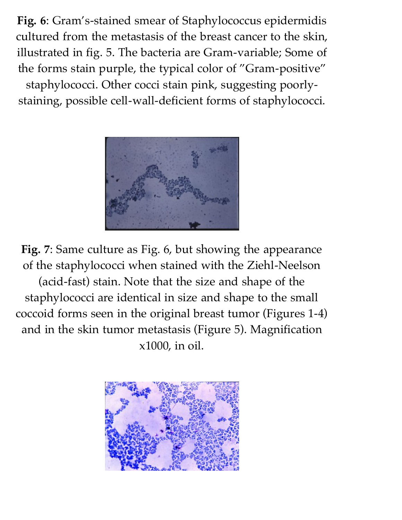**Fig. 6**: Gram's-stained smear of Staphylococcus epidermidis cultured from the metastasis of the breast cancer to the skin, illustrated in fig. 5. The bacteria are Gram-variable; Some of the forms stain purple, the typical color of "Gram-positive"

staphylococci. Other cocci stain pink, suggesting poorlystaining, possible cell-wall-deficient forms of staphylococci.



**Fig. 7**: Same culture as Fig. 6, but showing the appearance of the staphylococci when stained with the Ziehl-Neelson (acid-fast) stain. Note that the size and shape of the staphylococci are identical in size and shape to the small coccoid forms seen in the original breast tumor (Figures 1-4) and in the skin tumor metastasis (Figure 5). Magnification x1000, in oil.

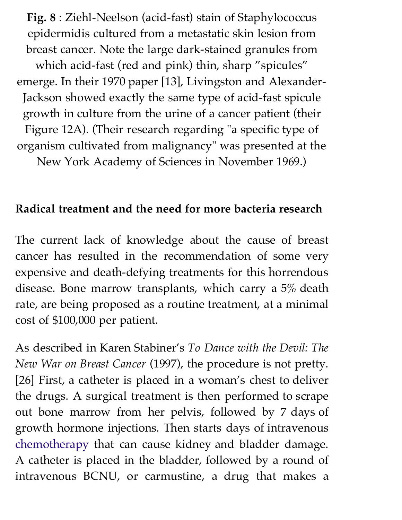**Fig. 8** : Ziehl-Neelson (acid-fast) stain of Staphylococcus epidermidis cultured from a metastatic skin lesion from breast cancer. Note the large dark-stained granules from which acid-fast (red and pink) thin, sharp "spicules" emerge. In their 1970 paper [13], Livingston and Alexander-Jackson showed exactly the same type of acid-fast spicule growth in culture from the urine of a cancer patient (their Figure 12A). (Their research regarding "a specific type of organism cultivated from malignancy" was presented at the New York Academy of Sciences in November 1969.)

#### **Radical treatment and the need for more bacteria research**

The current lack of knowledge about the cause of breast cancer has resulted in the recommendation of some very expensive and death-defying treatments for this horrendous disease. Bone marrow transplants, which carry a 5% death rate, are being proposed as a routine treatment, at a minimal cost of \$100,000 per patient.

As described in Karen Stabiner's *To Dance with the Devil: The New War on Breast Cancer* (1997), the procedure is not pretty. [26] First, a catheter is placed in a woman's chest to deliver the drugs. A surgical treatment is then performed to scrape out bone marrow from her pelvis, followed by 7 days of growth hormone injections. Then starts days of intravenous [chemotherapy](http://www.healingcancernaturally.com/alternative-cancer-treatment-2.html#On%20Chemotherapy) that can cause kidney and bladder damage. A catheter is placed in the bladder, followed by a round of intravenous BCNU, or carmustine, a drug that makes a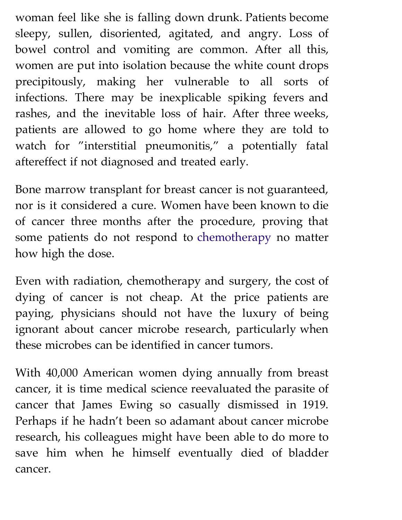woman feel like she is falling down drunk. Patients become sleepy, sullen, disoriented, agitated, and angry. Loss of bowel control and vomiting are common. After all this, women are put into isolation because the white count drops precipitously, making her vulnerable to all sorts of infections. There may be inexplicable spiking fevers and rashes, and the inevitable loss of hair. After three weeks, patients are allowed to go home where they are told to watch for "interstitial pneumonitis," a potentially fatal aftereffect if not diagnosed and treated early.

Bone marrow transplant for breast cancer is not guaranteed, nor is it considered a cure. Women have been known to die of cancer three months after the procedure, proving that some patients do not respond to [chemotherapy](http://www.healingcancernaturally.com/alternative-cancer-treatment-2.html#On%20Chemotherapy) no matter how high the dose.

Even with radiation, chemotherapy and surgery, the cost of dying of cancer is not cheap. At the price patients are paying, physicians should not have the luxury of being ignorant about cancer microbe research, particularly when these microbes can be identified in cancer tumors.

With 40,000 American women dying annually from breast cancer, it is time medical science reevaluated the parasite of cancer that James Ewing so casually dismissed in 1919. Perhaps if he hadn't been so adamant about cancer microbe research, his colleagues might have been able to do more to save him when he himself eventually died of bladder cancer.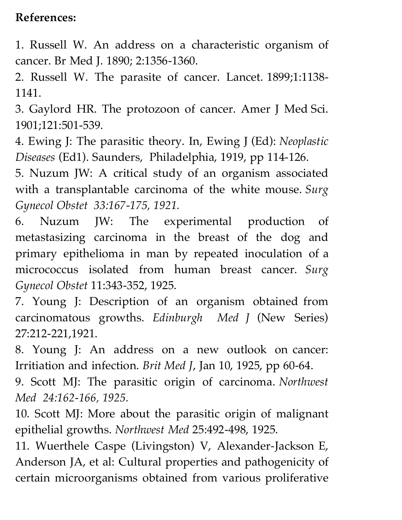#### **References:**

1. Russell W. An address on a characteristic organism of cancer. Br Med J. 1890; 2:1356-1360.

2. Russell W. The parasite of cancer. Lancet. 1899;1:1138- 1141.

3. Gaylord HR. The protozoon of cancer. Amer J Med Sci. 1901;121:501-539.

4. Ewing J: The parasitic theory. In, Ewing J (Ed): *Neoplastic Diseases* (Ed1). Saunders, Philadelphia, 1919, pp 114-126.

5. Nuzum JW: A critical study of an organism associated with a transplantable carcinoma of the white mouse. *Surg Gynecol Obstet 33:167-175, 1921.* 

6. Nuzum JW: The experimental production of metastasizing carcinoma in the breast of the dog and primary epithelioma in man by repeated inoculation of a micrococcus isolated from human breast cancer. *Surg Gynecol Obstet* 11:343-352, 1925.

7. Young J: Description of an organism obtained from carcinomatous growths. *Edinburgh Med J* (New Series) 27:212-221,1921.

8. Young J: An address on a new outlook on cancer: Irritiation and infection. *Brit Med J*, Jan 10, 1925, pp 60-64.

9. Scott MJ: The parasitic origin of carcinoma. *Northwest Med 24:162-166, 1925.*

10. Scott MJ: More about the parasitic origin of malignant epithelial growths. *Northwest Med* 25:492-498, 1925.

11. Wuerthele Caspe (Livingston) V, Alexander-Jackson E, Anderson JA, et al: Cultural properties and pathogenicity of certain microorganisms obtained from various proliferative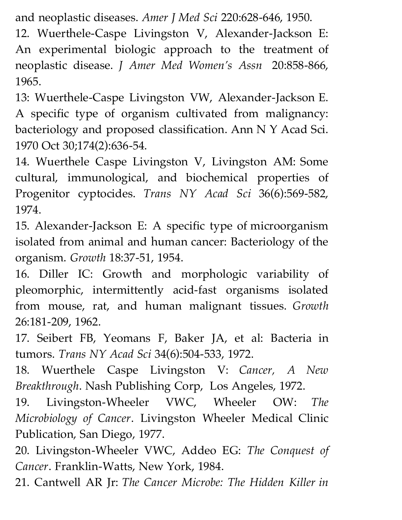and neoplastic diseases. *Amer J Med Sci* 220:628-646, 1950.

12. Wuerthele-Caspe Livingston V, Alexander-Jackson E: An experimental biologic approach to the treatment of neoplastic disease. *J Amer Med Women's Assn* 20:858-866, 1965.

13: Wuerthele-Caspe Livingston VW, Alexander-Jackson E. A specific type of organism cultivated from malignancy: bacteriology and proposed classification. Ann N Y Acad Sci. 1970 Oct 30;174(2):636-54.

14. Wuerthele Caspe Livingston V, Livingston AM: Some cultural, immunological, and biochemical properties of Progenitor cyptocides. *Trans NY Acad Sci* 36(6):569-582, 1974.

15. Alexander-Jackson E: A specific type of microorganism isolated from animal and human cancer: Bacteriology of the organism. *Growth* 18:37-51, 1954.

16. Diller IC: Growth and morphologic variability of pleomorphic, intermittently acid-fast organisms isolated from mouse, rat, and human malignant tissues. *Growth* 26:181-209, 1962.

17. Seibert FB, Yeomans F, Baker JA, et al: Bacteria in tumors. *Trans NY Acad Sci* 34(6):504-533, 1972.

18. Wuerthele Caspe Livingston V: *Cancer, A New Breakthrough*. Nash Publishing Corp, Los Angeles, 1972.

19. Livingston-Wheeler VWC, Wheeler OW: *The Microbiology of Cancer*. Livingston Wheeler Medical Clinic Publication, San Diego, 1977.

20. Livingston-Wheeler VWC, Addeo EG: *The Conquest of Cancer*. Franklin-Watts, New York, 1984.

21. Cantwell AR Jr: *The Cancer Microbe: The Hidden Killer in*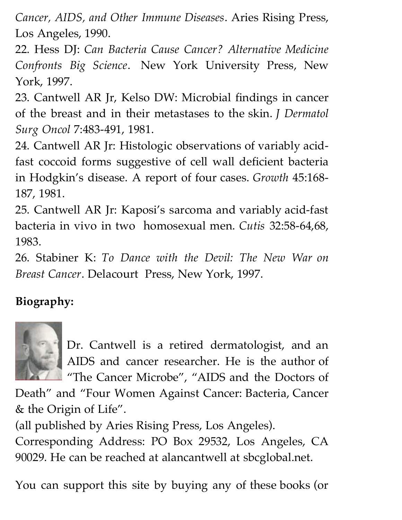*Cancer, AIDS, and Other Immune Diseases*. Aries Rising Press, Los Angeles, 1990.

22. Hess DJ: *Can Bacteria Cause Cancer? Alternative Medicine Confronts Big Science*. New York University Press, New York, 1997.

23. Cantwell AR Jr, Kelso DW: Microbial findings in cancer of the breast and in their metastases to the skin. *J Dermatol Surg Oncol* 7:483-491, 1981.

24. Cantwell AR Jr: Histologic observations of variably acidfast coccoid forms suggestive of cell wall deficient bacteria in Hodgkin's disease. A report of four cases. *Growth* 45:168- 187, 1981.

25. Cantwell AR Jr: Kaposi's sarcoma and variably acid-fast bacteria in vivo in two homosexual men. *Cutis* 32:58-64,68, 1983.

26. Stabiner K: *To Dance with the Devil: The New War on Breast Cancer*. Delacourt Press, New York, 1997.

## **Biography:**



Dr. Cantwell is a retired dermatologist, and an AIDS and cancer researcher. He is the author of "The Cancer Microbe", "AIDS and the Doctors of

Death" and "Four Women Against Cancer: Bacteria, Cancer & the Origin of Life".

(all published by Aries Rising Press, Los Angeles).

Corresponding Address: PO Box 29532, Los Angeles, CA 90029. He can be reached at alancantwell at sbcglobal.net.

You can support this site by buying any of these books (or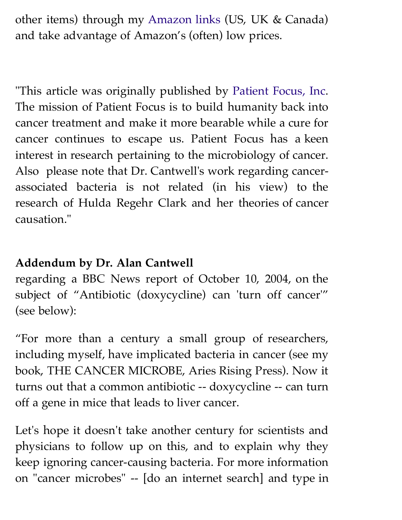other items) through my [Amazon links](http://www.healingcancernaturally.com/contact.html#Support_This_Site) (US, UK & Canada) and take advantage of Amazon's (often) low prices.

["This article was originally published by P](#page-52-0)[atient Focus, Inc](http://patientfocus.org/main/breastBact.htm). The mission of Patient Focus is to build humanity back into cancer treatment and make it more bearable while a cure for cancer continues to escape us. Patient Focus has a keen interest in research pertaining to the microbiology of cancer. Also please note that Dr. Cantwell's work regarding cancerassociated bacteria is not related (in his view) to the research of Hulda Regehr Clark and her theories of cancer causation."

## **Addendum by Dr. Alan Cantwell**

regarding a BBC News report of October 10, 2004, on the subject of "Antibiotic (doxycycline) can 'turn off cancer'" (see below):

"For more than a century a small group of researchers, including myself, have implicated bacteria in cancer (see my book, THE CANCER MICROBE, Aries Rising Press). Now it turns out that a common antibiotic -- doxycycline -- can turn off a gene in mice that leads to liver cancer.

<span id="page-52-0"></span>Let's hope it doesn't take another century for scientists and physicians to follow up on this, and to explain why they keep ignoring cancer-causing bacteria. For more information on "cancer microbes" -- [do an internet search] and type in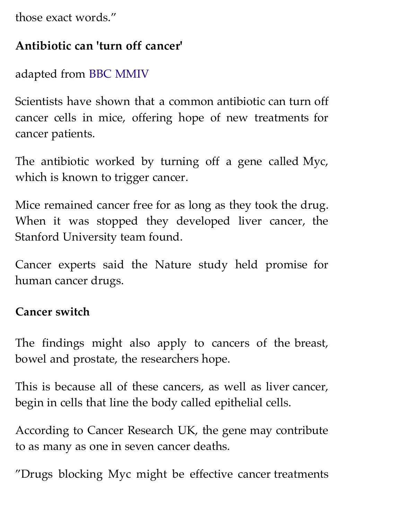those exact words."

### **Antibiotic can 'turn off cancer'**

### adapted from [BBC MMIV](http://news.bbc.co.uk/go/pr/fr/-/2/hi/health/3726124.stm)

Scientists have shown that a common antibiotic can turn off cancer cells in mice, offering hope of new treatments for cancer patients.

The antibiotic worked by turning off a gene called Myc, which is known to trigger cancer.

Mice remained cancer free for as long as they took the drug. When it was stopped they developed liver cancer, the Stanford University team found.

Cancer experts said the Nature study held promise for human cancer drugs.

### **Cancer switch**

The findings might also apply to cancers of the breast, bowel and prostate, the researchers hope.

This is because all of these cancers, as well as liver cancer, begin in cells that line the body called epithelial cells.

According to Cancer Research UK, the gene may contribute to as many as one in seven cancer deaths.

"Drugs blocking Myc might be effective cancer treatments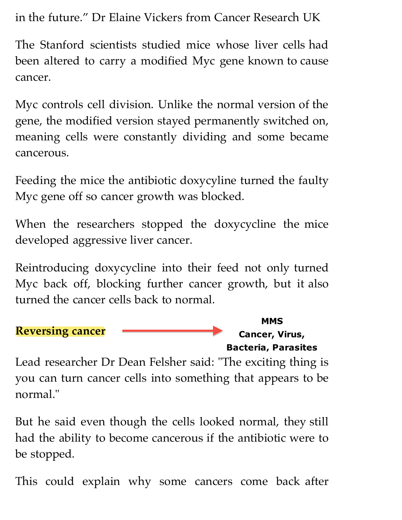in the future." Dr Elaine Vickers from Cancer Research UK

The Stanford scientists studied mice whose liver cells had been altered to carry a modified Myc gene known to cause cancer.

Myc controls cell division. Unlike the normal version of the gene, the modified version stayed permanently switched on, meaning cells were constantly dividing and some became cancerous.

Feeding the mice the antibiotic doxycyline turned the faulty Myc gene off so cancer growth was blocked.

When the researchers stopped the doxycycline the mice developed aggressive liver cancer.

Reintroducing doxycycline into their feed not only turned Myc back off, blocking further cancer growth, but it also turned the cancer cells back to normal.

#### **Reversing cancer**

#### **MMS Cancer, Virus, [Bacteria, Parasites](http://sriinc.projectgreenlife.com)**

Lead researcher Dr Dean Felsher said: "The exciting thing is you can turn cancer cells into something that appears to be normal."

But he said even though the cells looked normal, they still had the ability to become cancerous if the antibiotic were to be stopped.

This could explain why some cancers come back after